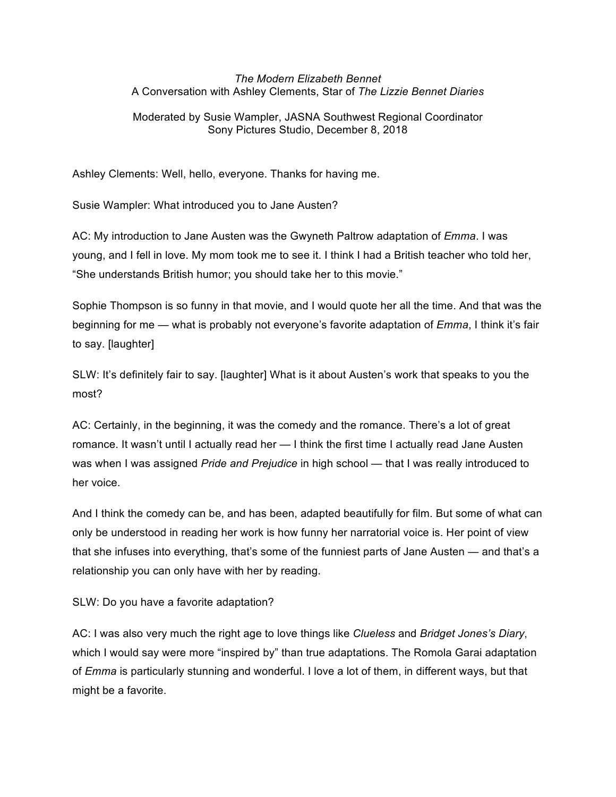## *The Modern Elizabeth Bennet* A Conversation with Ashley Clements, Star of *The Lizzie Bennet Diaries*

## Moderated by Susie Wampler, JASNA Southwest Regional Coordinator Sony Pictures Studio, December 8, 2018

Ashley Clements: Well, hello, everyone. Thanks for having me.

Susie Wampler: What introduced you to Jane Austen?

AC: My introduction to Jane Austen was the Gwyneth Paltrow adaptation of *Emma*. I was young, and I fell in love. My mom took me to see it. I think I had a British teacher who told her, "She understands British humor; you should take her to this movie."

Sophie Thompson is so funny in that movie, and I would quote her all the time. And that was the beginning for me — what is probably not everyone's favorite adaptation of *Emma*, I think it's fair to say. [laughter]

SLW: It's definitely fair to say. [laughter] What is it about Austen's work that speaks to you the most?

AC: Certainly, in the beginning, it was the comedy and the romance. There's a lot of great romance. It wasn't until I actually read her — I think the first time I actually read Jane Austen was when I was assigned *Pride and Prejudice* in high school — that I was really introduced to her voice.

And I think the comedy can be, and has been, adapted beautifully for film. But some of what can only be understood in reading her work is how funny her narratorial voice is. Her point of view that she infuses into everything, that's some of the funniest parts of Jane Austen — and that's a relationship you can only have with her by reading.

SLW: Do you have a favorite adaptation?

AC: I was also very much the right age to love things like *Clueless* and *Bridget Jones's Diary*, which I would say were more "inspired by" than true adaptations. The Romola Garai adaptation of *Emma* is particularly stunning and wonderful. I love a lot of them, in different ways, but that might be a favorite.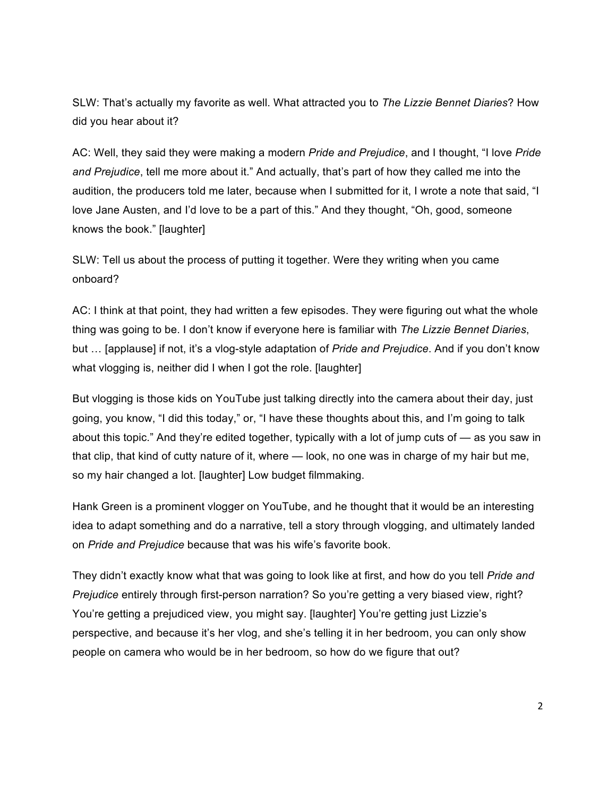SLW: That's actually my favorite as well. What attracted you to *The Lizzie Bennet Diaries*? How did you hear about it?

AC: Well, they said they were making a modern *Pride and Prejudice*, and I thought, "I love *Pride and Prejudice*, tell me more about it." And actually, that's part of how they called me into the audition, the producers told me later, because when I submitted for it, I wrote a note that said, "I love Jane Austen, and I'd love to be a part of this." And they thought, "Oh, good, someone knows the book." [laughter]

SLW: Tell us about the process of putting it together. Were they writing when you came onboard?

AC: I think at that point, they had written a few episodes. They were figuring out what the whole thing was going to be. I don't know if everyone here is familiar with *The Lizzie Bennet Diaries*, but … [applause] if not, it's a vlog-style adaptation of *Pride and Prejudice*. And if you don't know what vlogging is, neither did I when I got the role. [laughter]

But vlogging is those kids on YouTube just talking directly into the camera about their day, just going, you know, "I did this today," or, "I have these thoughts about this, and I'm going to talk about this topic." And they're edited together, typically with a lot of jump cuts of — as you saw in that clip, that kind of cutty nature of it, where — look, no one was in charge of my hair but me, so my hair changed a lot. [laughter] Low budget filmmaking.

Hank Green is a prominent vlogger on YouTube, and he thought that it would be an interesting idea to adapt something and do a narrative, tell a story through vlogging, and ultimately landed on *Pride and Prejudice* because that was his wife's favorite book.

They didn't exactly know what that was going to look like at first, and how do you tell *Pride and Prejudice* entirely through first-person narration? So you're getting a very biased view, right? You're getting a prejudiced view, you might say. [laughter] You're getting just Lizzie's perspective, and because it's her vlog, and she's telling it in her bedroom, you can only show people on camera who would be in her bedroom, so how do we figure that out?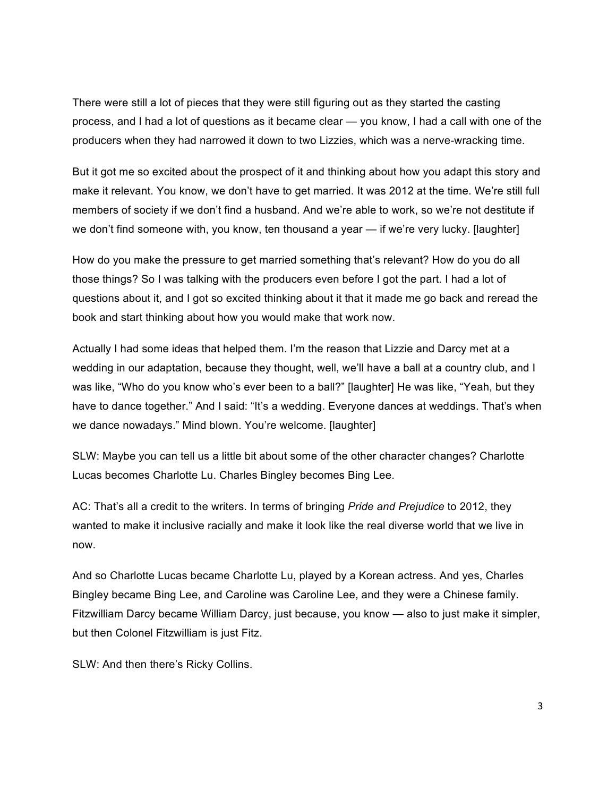There were still a lot of pieces that they were still figuring out as they started the casting process, and I had a lot of questions as it became clear — you know, I had a call with one of the producers when they had narrowed it down to two Lizzies, which was a nerve-wracking time.

But it got me so excited about the prospect of it and thinking about how you adapt this story and make it relevant. You know, we don't have to get married. It was 2012 at the time. We're still full members of society if we don't find a husband. And we're able to work, so we're not destitute if we don't find someone with, you know, ten thousand a year — if we're very lucky. [laughter]

How do you make the pressure to get married something that's relevant? How do you do all those things? So I was talking with the producers even before I got the part. I had a lot of questions about it, and I got so excited thinking about it that it made me go back and reread the book and start thinking about how you would make that work now.

Actually I had some ideas that helped them. I'm the reason that Lizzie and Darcy met at a wedding in our adaptation, because they thought, well, we'll have a ball at a country club, and I was like, "Who do you know who's ever been to a ball?" [laughter] He was like, "Yeah, but they have to dance together." And I said: "It's a wedding. Everyone dances at weddings. That's when we dance nowadays." Mind blown. You're welcome. [laughter]

SLW: Maybe you can tell us a little bit about some of the other character changes? Charlotte Lucas becomes Charlotte Lu. Charles Bingley becomes Bing Lee.

AC: That's all a credit to the writers. In terms of bringing *Pride and Prejudice* to 2012, they wanted to make it inclusive racially and make it look like the real diverse world that we live in now.

And so Charlotte Lucas became Charlotte Lu, played by a Korean actress. And yes, Charles Bingley became Bing Lee, and Caroline was Caroline Lee, and they were a Chinese family. Fitzwilliam Darcy became William Darcy, just because, you know — also to just make it simpler, but then Colonel Fitzwilliam is just Fitz.

SLW: And then there's Ricky Collins.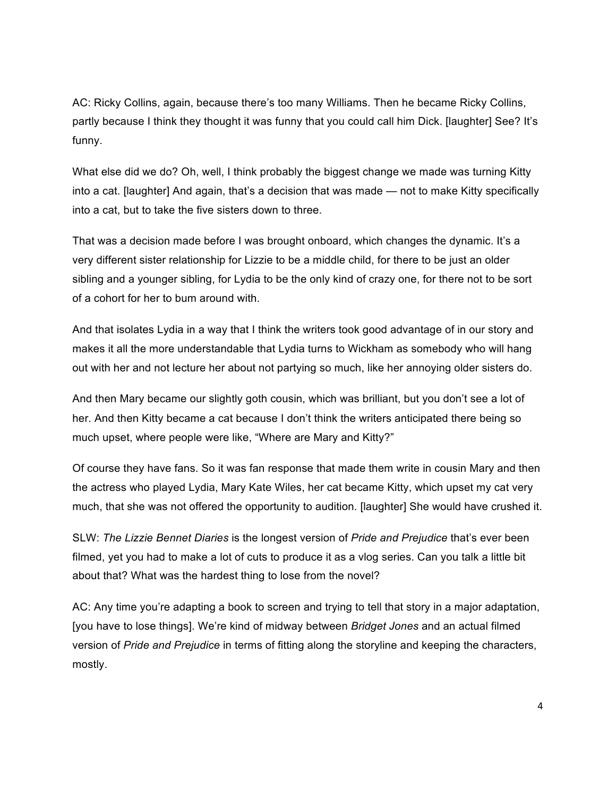AC: Ricky Collins, again, because there's too many Williams. Then he became Ricky Collins, partly because I think they thought it was funny that you could call him Dick. [laughter] See? It's funny.

What else did we do? Oh, well, I think probably the biggest change we made was turning Kitty into a cat. [laughter] And again, that's a decision that was made — not to make Kitty specifically into a cat, but to take the five sisters down to three.

That was a decision made before I was brought onboard, which changes the dynamic. It's a very different sister relationship for Lizzie to be a middle child, for there to be just an older sibling and a younger sibling, for Lydia to be the only kind of crazy one, for there not to be sort of a cohort for her to bum around with.

And that isolates Lydia in a way that I think the writers took good advantage of in our story and makes it all the more understandable that Lydia turns to Wickham as somebody who will hang out with her and not lecture her about not partying so much, like her annoying older sisters do.

And then Mary became our slightly goth cousin, which was brilliant, but you don't see a lot of her. And then Kitty became a cat because I don't think the writers anticipated there being so much upset, where people were like, "Where are Mary and Kitty?"

Of course they have fans. So it was fan response that made them write in cousin Mary and then the actress who played Lydia, Mary Kate Wiles, her cat became Kitty, which upset my cat very much, that she was not offered the opportunity to audition. [laughter] She would have crushed it.

SLW: *The Lizzie Bennet Diaries* is the longest version of *Pride and Prejudice* that's ever been filmed, yet you had to make a lot of cuts to produce it as a vlog series. Can you talk a little bit about that? What was the hardest thing to lose from the novel?

AC: Any time you're adapting a book to screen and trying to tell that story in a major adaptation, [you have to lose things]. We're kind of midway between *Bridget Jones* and an actual filmed version of *Pride and Prejudice* in terms of fitting along the storyline and keeping the characters, mostly.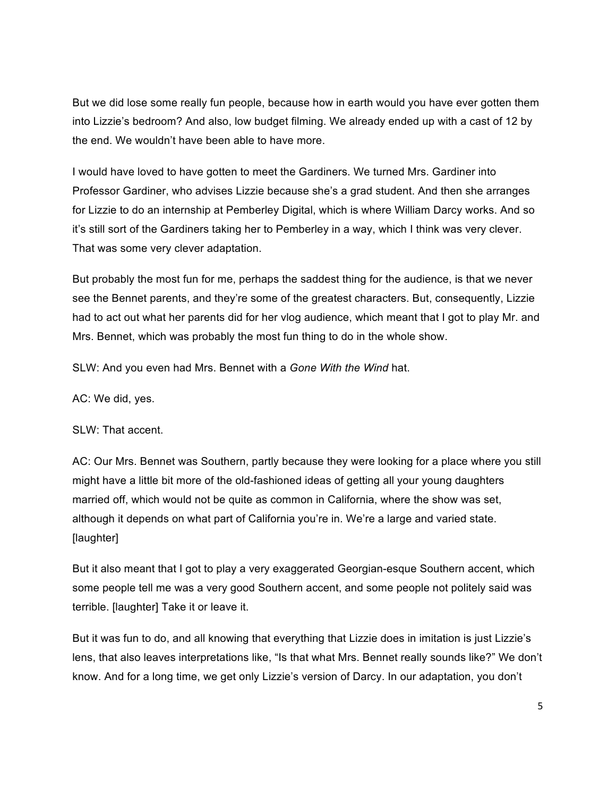But we did lose some really fun people, because how in earth would you have ever gotten them into Lizzie's bedroom? And also, low budget filming. We already ended up with a cast of 12 by the end. We wouldn't have been able to have more.

I would have loved to have gotten to meet the Gardiners. We turned Mrs. Gardiner into Professor Gardiner, who advises Lizzie because she's a grad student. And then she arranges for Lizzie to do an internship at Pemberley Digital, which is where William Darcy works. And so it's still sort of the Gardiners taking her to Pemberley in a way, which I think was very clever. That was some very clever adaptation.

But probably the most fun for me, perhaps the saddest thing for the audience, is that we never see the Bennet parents, and they're some of the greatest characters. But, consequently, Lizzie had to act out what her parents did for her vlog audience, which meant that I got to play Mr. and Mrs. Bennet, which was probably the most fun thing to do in the whole show.

SLW: And you even had Mrs. Bennet with a *Gone With the Wind* hat.

AC: We did, yes.

## SLW: That accent.

AC: Our Mrs. Bennet was Southern, partly because they were looking for a place where you still might have a little bit more of the old-fashioned ideas of getting all your young daughters married off, which would not be quite as common in California, where the show was set, although it depends on what part of California you're in. We're a large and varied state. [laughter]

But it also meant that I got to play a very exaggerated Georgian-esque Southern accent, which some people tell me was a very good Southern accent, and some people not politely said was terrible. [laughter] Take it or leave it.

But it was fun to do, and all knowing that everything that Lizzie does in imitation is just Lizzie's lens, that also leaves interpretations like, "Is that what Mrs. Bennet really sounds like?" We don't know. And for a long time, we get only Lizzie's version of Darcy. In our adaptation, you don't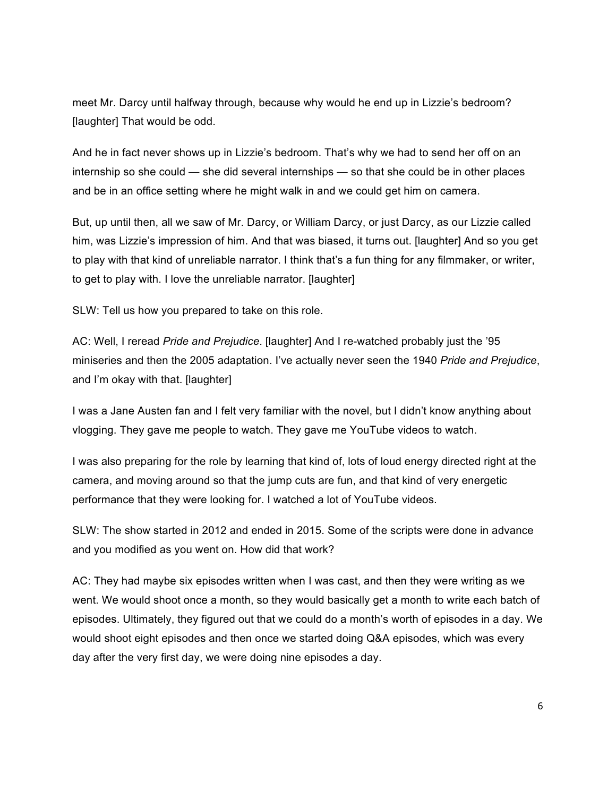meet Mr. Darcy until halfway through, because why would he end up in Lizzie's bedroom? [laughter] That would be odd.

And he in fact never shows up in Lizzie's bedroom. That's why we had to send her off on an internship so she could — she did several internships — so that she could be in other places and be in an office setting where he might walk in and we could get him on camera.

But, up until then, all we saw of Mr. Darcy, or William Darcy, or just Darcy, as our Lizzie called him, was Lizzie's impression of him. And that was biased, it turns out. [laughter] And so you get to play with that kind of unreliable narrator. I think that's a fun thing for any filmmaker, or writer, to get to play with. I love the unreliable narrator. [laughter]

SLW: Tell us how you prepared to take on this role.

AC: Well, I reread *Pride and Prejudice*. [laughter] And I re-watched probably just the '95 miniseries and then the 2005 adaptation. I've actually never seen the 1940 *Pride and Prejudice*, and I'm okay with that. [laughter]

I was a Jane Austen fan and I felt very familiar with the novel, but I didn't know anything about vlogging. They gave me people to watch. They gave me YouTube videos to watch.

I was also preparing for the role by learning that kind of, lots of loud energy directed right at the camera, and moving around so that the jump cuts are fun, and that kind of very energetic performance that they were looking for. I watched a lot of YouTube videos.

SLW: The show started in 2012 and ended in 2015. Some of the scripts were done in advance and you modified as you went on. How did that work?

AC: They had maybe six episodes written when I was cast, and then they were writing as we went. We would shoot once a month, so they would basically get a month to write each batch of episodes. Ultimately, they figured out that we could do a month's worth of episodes in a day. We would shoot eight episodes and then once we started doing Q&A episodes, which was every day after the very first day, we were doing nine episodes a day.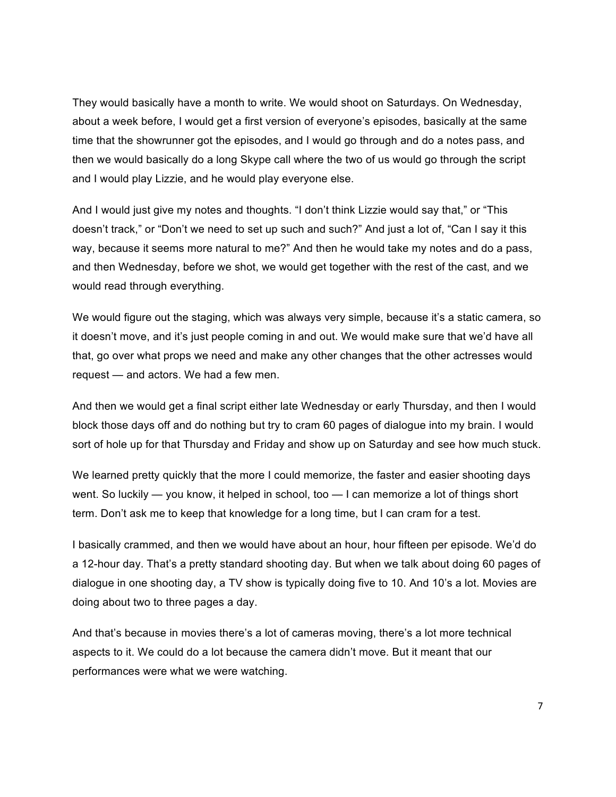They would basically have a month to write. We would shoot on Saturdays. On Wednesday, about a week before, I would get a first version of everyone's episodes, basically at the same time that the showrunner got the episodes, and I would go through and do a notes pass, and then we would basically do a long Skype call where the two of us would go through the script and I would play Lizzie, and he would play everyone else.

And I would just give my notes and thoughts. "I don't think Lizzie would say that," or "This doesn't track," or "Don't we need to set up such and such?" And just a lot of, "Can I say it this way, because it seems more natural to me?" And then he would take my notes and do a pass, and then Wednesday, before we shot, we would get together with the rest of the cast, and we would read through everything.

We would figure out the staging, which was always very simple, because it's a static camera, so it doesn't move, and it's just people coming in and out. We would make sure that we'd have all that, go over what props we need and make any other changes that the other actresses would request — and actors. We had a few men.

And then we would get a final script either late Wednesday or early Thursday, and then I would block those days off and do nothing but try to cram 60 pages of dialogue into my brain. I would sort of hole up for that Thursday and Friday and show up on Saturday and see how much stuck.

We learned pretty quickly that the more I could memorize, the faster and easier shooting days went. So luckily — you know, it helped in school, too — I can memorize a lot of things short term. Don't ask me to keep that knowledge for a long time, but I can cram for a test.

I basically crammed, and then we would have about an hour, hour fifteen per episode. We'd do a 12-hour day. That's a pretty standard shooting day. But when we talk about doing 60 pages of dialogue in one shooting day, a TV show is typically doing five to 10. And 10's a lot. Movies are doing about two to three pages a day.

And that's because in movies there's a lot of cameras moving, there's a lot more technical aspects to it. We could do a lot because the camera didn't move. But it meant that our performances were what we were watching.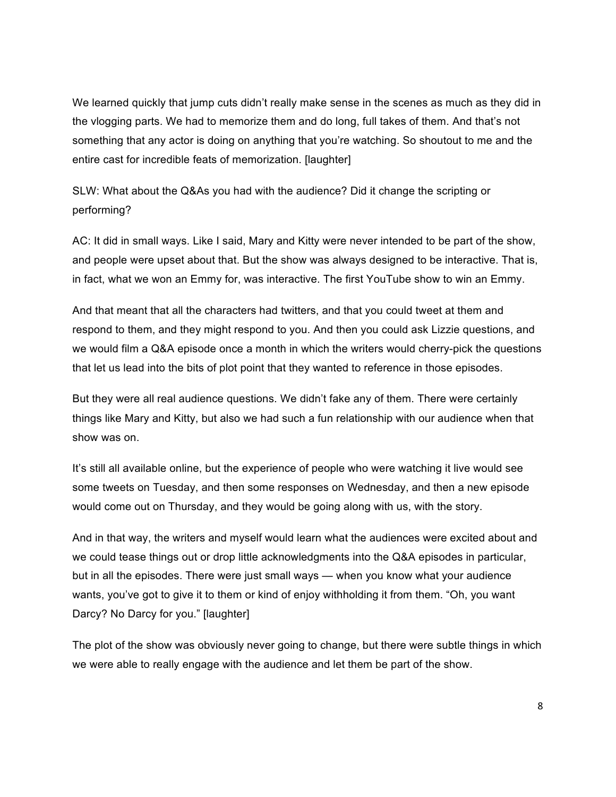We learned quickly that jump cuts didn't really make sense in the scenes as much as they did in the vlogging parts. We had to memorize them and do long, full takes of them. And that's not something that any actor is doing on anything that you're watching. So shoutout to me and the entire cast for incredible feats of memorization. [laughter]

SLW: What about the Q&As you had with the audience? Did it change the scripting or performing?

AC: It did in small ways. Like I said, Mary and Kitty were never intended to be part of the show, and people were upset about that. But the show was always designed to be interactive. That is, in fact, what we won an Emmy for, was interactive. The first YouTube show to win an Emmy.

And that meant that all the characters had twitters, and that you could tweet at them and respond to them, and they might respond to you. And then you could ask Lizzie questions, and we would film a Q&A episode once a month in which the writers would cherry-pick the questions that let us lead into the bits of plot point that they wanted to reference in those episodes.

But they were all real audience questions. We didn't fake any of them. There were certainly things like Mary and Kitty, but also we had such a fun relationship with our audience when that show was on.

It's still all available online, but the experience of people who were watching it live would see some tweets on Tuesday, and then some responses on Wednesday, and then a new episode would come out on Thursday, and they would be going along with us, with the story.

And in that way, the writers and myself would learn what the audiences were excited about and we could tease things out or drop little acknowledgments into the Q&A episodes in particular, but in all the episodes. There were just small ways — when you know what your audience wants, you've got to give it to them or kind of enjoy withholding it from them. "Oh, you want Darcy? No Darcy for you." [laughter]

The plot of the show was obviously never going to change, but there were subtle things in which we were able to really engage with the audience and let them be part of the show.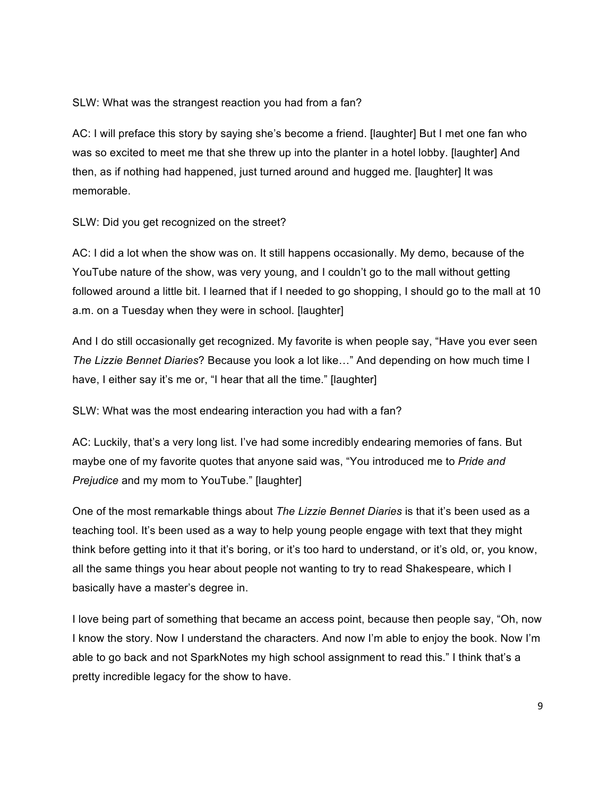SLW: What was the strangest reaction you had from a fan?

AC: I will preface this story by saying she's become a friend. [laughter] But I met one fan who was so excited to meet me that she threw up into the planter in a hotel lobby. [laughter] And then, as if nothing had happened, just turned around and hugged me. [laughter] It was memorable.

SLW: Did you get recognized on the street?

AC: I did a lot when the show was on. It still happens occasionally. My demo, because of the YouTube nature of the show, was very young, and I couldn't go to the mall without getting followed around a little bit. I learned that if I needed to go shopping, I should go to the mall at 10 a.m. on a Tuesday when they were in school. [laughter]

And I do still occasionally get recognized. My favorite is when people say, "Have you ever seen *The Lizzie Bennet Diaries*? Because you look a lot like…" And depending on how much time I have, I either say it's me or, "I hear that all the time." [laughter]

SLW: What was the most endearing interaction you had with a fan?

AC: Luckily, that's a very long list. I've had some incredibly endearing memories of fans. But maybe one of my favorite quotes that anyone said was, "You introduced me to *Pride and Prejudice* and my mom to YouTube." [laughter]

One of the most remarkable things about *The Lizzie Bennet Diaries* is that it's been used as a teaching tool. It's been used as a way to help young people engage with text that they might think before getting into it that it's boring, or it's too hard to understand, or it's old, or, you know, all the same things you hear about people not wanting to try to read Shakespeare, which I basically have a master's degree in.

I love being part of something that became an access point, because then people say, "Oh, now I know the story. Now I understand the characters. And now I'm able to enjoy the book. Now I'm able to go back and not SparkNotes my high school assignment to read this." I think that's a pretty incredible legacy for the show to have.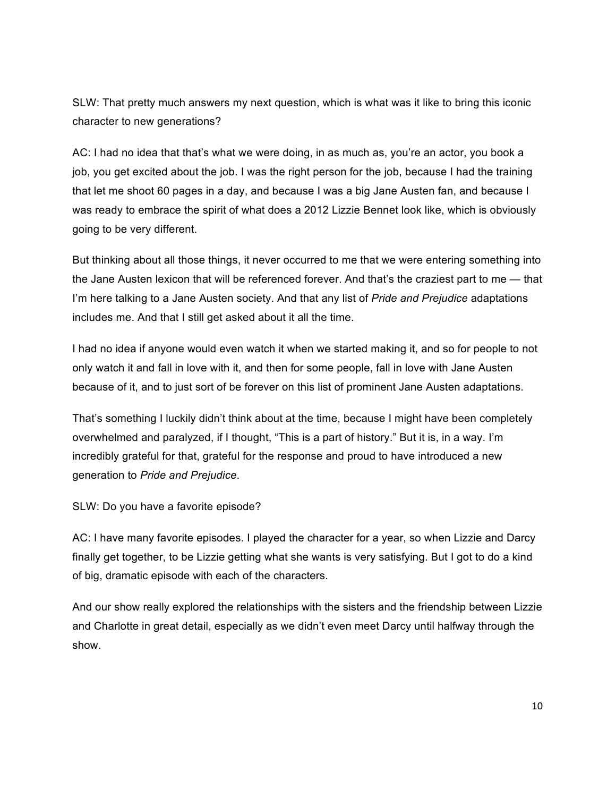SLW: That pretty much answers my next question, which is what was it like to bring this iconic character to new generations?

AC: I had no idea that that's what we were doing, in as much as, you're an actor, you book a job, you get excited about the job. I was the right person for the job, because I had the training that let me shoot 60 pages in a day, and because I was a big Jane Austen fan, and because I was ready to embrace the spirit of what does a 2012 Lizzie Bennet look like, which is obviously going to be very different.

But thinking about all those things, it never occurred to me that we were entering something into the Jane Austen lexicon that will be referenced forever. And that's the craziest part to me — that I'm here talking to a Jane Austen society. And that any list of *Pride and Prejudice* adaptations includes me. And that I still get asked about it all the time.

I had no idea if anyone would even watch it when we started making it, and so for people to not only watch it and fall in love with it, and then for some people, fall in love with Jane Austen because of it, and to just sort of be forever on this list of prominent Jane Austen adaptations.

That's something I luckily didn't think about at the time, because I might have been completely overwhelmed and paralyzed, if I thought, "This is a part of history." But it is, in a way. I'm incredibly grateful for that, grateful for the response and proud to have introduced a new generation to *Pride and Prejudice*.

SLW: Do you have a favorite episode?

AC: I have many favorite episodes. I played the character for a year, so when Lizzie and Darcy finally get together, to be Lizzie getting what she wants is very satisfying. But I got to do a kind of big, dramatic episode with each of the characters.

And our show really explored the relationships with the sisters and the friendship between Lizzie and Charlotte in great detail, especially as we didn't even meet Darcy until halfway through the show.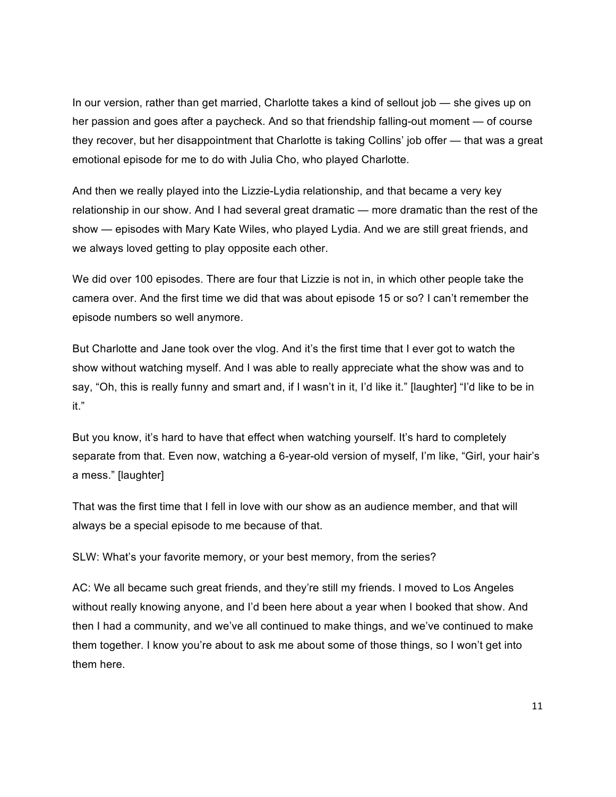In our version, rather than get married, Charlotte takes a kind of sellout job — she gives up on her passion and goes after a paycheck. And so that friendship falling-out moment — of course they recover, but her disappointment that Charlotte is taking Collins' job offer — that was a great emotional episode for me to do with Julia Cho, who played Charlotte.

And then we really played into the Lizzie-Lydia relationship, and that became a very key relationship in our show. And I had several great dramatic — more dramatic than the rest of the show — episodes with Mary Kate Wiles, who played Lydia. And we are still great friends, and we always loved getting to play opposite each other.

We did over 100 episodes. There are four that Lizzie is not in, in which other people take the camera over. And the first time we did that was about episode 15 or so? I can't remember the episode numbers so well anymore.

But Charlotte and Jane took over the vlog. And it's the first time that I ever got to watch the show without watching myself. And I was able to really appreciate what the show was and to say, "Oh, this is really funny and smart and, if I wasn't in it, I'd like it." [laughter] "I'd like to be in it."

But you know, it's hard to have that effect when watching yourself. It's hard to completely separate from that. Even now, watching a 6-year-old version of myself, I'm like, "Girl, your hair's a mess." [laughter]

That was the first time that I fell in love with our show as an audience member, and that will always be a special episode to me because of that.

SLW: What's your favorite memory, or your best memory, from the series?

AC: We all became such great friends, and they're still my friends. I moved to Los Angeles without really knowing anyone, and I'd been here about a year when I booked that show. And then I had a community, and we've all continued to make things, and we've continued to make them together. I know you're about to ask me about some of those things, so I won't get into them here.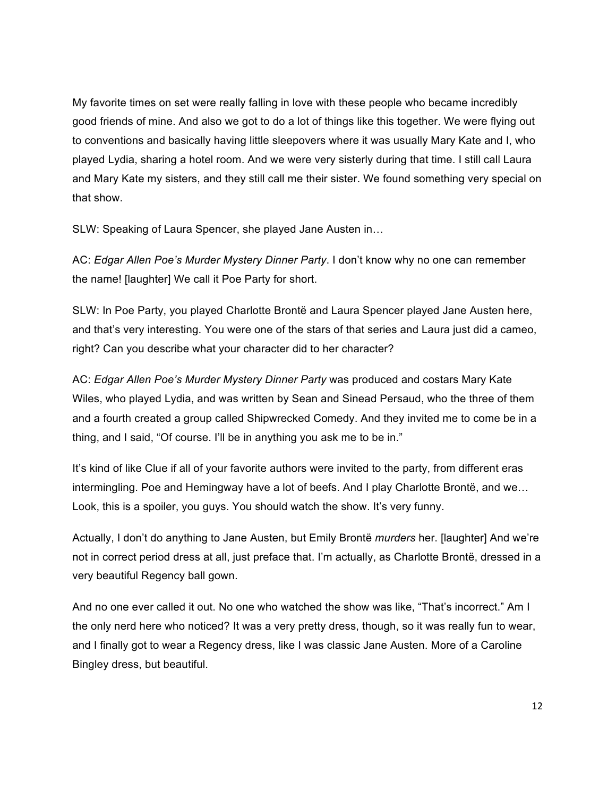My favorite times on set were really falling in love with these people who became incredibly good friends of mine. And also we got to do a lot of things like this together. We were flying out to conventions and basically having little sleepovers where it was usually Mary Kate and I, who played Lydia, sharing a hotel room. And we were very sisterly during that time. I still call Laura and Mary Kate my sisters, and they still call me their sister. We found something very special on that show.

SLW: Speaking of Laura Spencer, she played Jane Austen in…

AC: *Edgar Allen Poe's Murder Mystery Dinner Party*. I don't know why no one can remember the name! [laughter] We call it Poe Party for short.

SLW: In Poe Party, you played Charlotte Brontë and Laura Spencer played Jane Austen here, and that's very interesting. You were one of the stars of that series and Laura just did a cameo, right? Can you describe what your character did to her character?

AC: *Edgar Allen Poe's Murder Mystery Dinner Party* was produced and costars Mary Kate Wiles, who played Lydia, and was written by Sean and Sinead Persaud, who the three of them and a fourth created a group called Shipwrecked Comedy. And they invited me to come be in a thing, and I said, "Of course. I'll be in anything you ask me to be in."

It's kind of like Clue if all of your favorite authors were invited to the party, from different eras intermingling. Poe and Hemingway have a lot of beefs. And I play Charlotte Brontë, and we… Look, this is a spoiler, you guys. You should watch the show. It's very funny.

Actually, I don't do anything to Jane Austen, but Emily Brontë *murders* her. [laughter] And we're not in correct period dress at all, just preface that. I'm actually, as Charlotte Brontë, dressed in a very beautiful Regency ball gown.

And no one ever called it out. No one who watched the show was like, "That's incorrect." Am I the only nerd here who noticed? It was a very pretty dress, though, so it was really fun to wear, and I finally got to wear a Regency dress, like I was classic Jane Austen. More of a Caroline Bingley dress, but beautiful.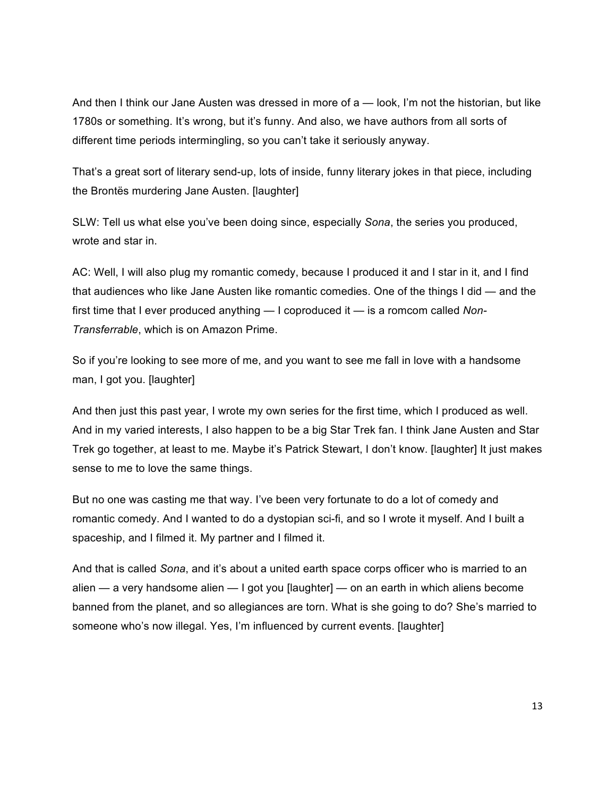And then I think our Jane Austen was dressed in more of a — look, I'm not the historian, but like 1780s or something. It's wrong, but it's funny. And also, we have authors from all sorts of different time periods intermingling, so you can't take it seriously anyway.

That's a great sort of literary send-up, lots of inside, funny literary jokes in that piece, including the Brontës murdering Jane Austen. [laughter]

SLW: Tell us what else you've been doing since, especially *Sona*, the series you produced, wrote and star in.

AC: Well, I will also plug my romantic comedy, because I produced it and I star in it, and I find that audiences who like Jane Austen like romantic comedies. One of the things I did — and the first time that I ever produced anything — I coproduced it — is a romcom called *Non-Transferrable*, which is on Amazon Prime.

So if you're looking to see more of me, and you want to see me fall in love with a handsome man, I got you. [laughter]

And then just this past year, I wrote my own series for the first time, which I produced as well. And in my varied interests, I also happen to be a big Star Trek fan. I think Jane Austen and Star Trek go together, at least to me. Maybe it's Patrick Stewart, I don't know. [laughter] It just makes sense to me to love the same things.

But no one was casting me that way. I've been very fortunate to do a lot of comedy and romantic comedy. And I wanted to do a dystopian sci-fi, and so I wrote it myself. And I built a spaceship, and I filmed it. My partner and I filmed it.

And that is called *Sona*, and it's about a united earth space corps officer who is married to an alien — a very handsome alien — I got you [laughter] — on an earth in which aliens become banned from the planet, and so allegiances are torn. What is she going to do? She's married to someone who's now illegal. Yes, I'm influenced by current events. [laughter]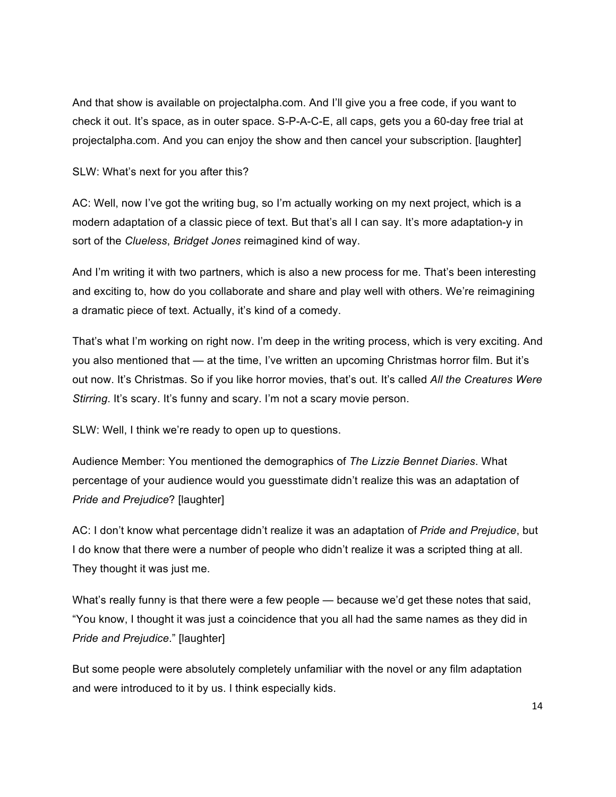And that show is available on projectalpha.com. And I'll give you a free code, if you want to check it out. It's space, as in outer space. S-P-A-C-E, all caps, gets you a 60-day free trial at projectalpha.com. And you can enjoy the show and then cancel your subscription. [laughter]

SLW: What's next for you after this?

AC: Well, now I've got the writing bug, so I'm actually working on my next project, which is a modern adaptation of a classic piece of text. But that's all I can say. It's more adaptation-y in sort of the *Clueless*, *Bridget Jones* reimagined kind of way.

And I'm writing it with two partners, which is also a new process for me. That's been interesting and exciting to, how do you collaborate and share and play well with others. We're reimagining a dramatic piece of text. Actually, it's kind of a comedy.

That's what I'm working on right now. I'm deep in the writing process, which is very exciting. And you also mentioned that — at the time, I've written an upcoming Christmas horror film. But it's out now. It's Christmas. So if you like horror movies, that's out. It's called *All the Creatures Were Stirring*. It's scary. It's funny and scary. I'm not a scary movie person.

SLW: Well, I think we're ready to open up to questions.

Audience Member: You mentioned the demographics of *The Lizzie Bennet Diaries*. What percentage of your audience would you guesstimate didn't realize this was an adaptation of *Pride and Prejudice*? [laughter]

AC: I don't know what percentage didn't realize it was an adaptation of *Pride and Prejudice*, but I do know that there were a number of people who didn't realize it was a scripted thing at all. They thought it was just me.

What's really funny is that there were a few people — because we'd get these notes that said, "You know, I thought it was just a coincidence that you all had the same names as they did in *Pride and Prejudice*." [laughter]

But some people were absolutely completely unfamiliar with the novel or any film adaptation and were introduced to it by us. I think especially kids.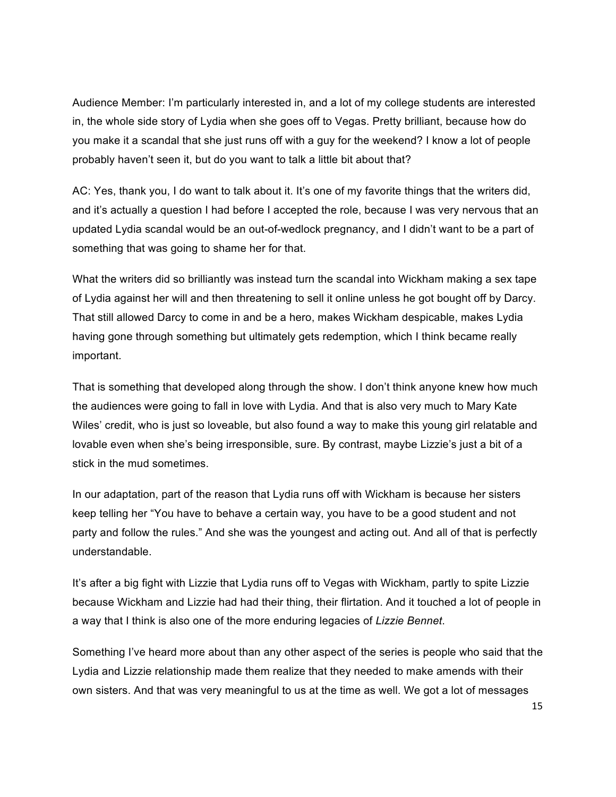Audience Member: I'm particularly interested in, and a lot of my college students are interested in, the whole side story of Lydia when she goes off to Vegas. Pretty brilliant, because how do you make it a scandal that she just runs off with a guy for the weekend? I know a lot of people probably haven't seen it, but do you want to talk a little bit about that?

AC: Yes, thank you, I do want to talk about it. It's one of my favorite things that the writers did, and it's actually a question I had before I accepted the role, because I was very nervous that an updated Lydia scandal would be an out-of-wedlock pregnancy, and I didn't want to be a part of something that was going to shame her for that.

What the writers did so brilliantly was instead turn the scandal into Wickham making a sex tape of Lydia against her will and then threatening to sell it online unless he got bought off by Darcy. That still allowed Darcy to come in and be a hero, makes Wickham despicable, makes Lydia having gone through something but ultimately gets redemption, which I think became really important.

That is something that developed along through the show. I don't think anyone knew how much the audiences were going to fall in love with Lydia. And that is also very much to Mary Kate Wiles' credit, who is just so loveable, but also found a way to make this young girl relatable and lovable even when she's being irresponsible, sure. By contrast, maybe Lizzie's just a bit of a stick in the mud sometimes.

In our adaptation, part of the reason that Lydia runs off with Wickham is because her sisters keep telling her "You have to behave a certain way, you have to be a good student and not party and follow the rules." And she was the youngest and acting out. And all of that is perfectly understandable.

It's after a big fight with Lizzie that Lydia runs off to Vegas with Wickham, partly to spite Lizzie because Wickham and Lizzie had had their thing, their flirtation. And it touched a lot of people in a way that I think is also one of the more enduring legacies of *Lizzie Bennet*.

Something I've heard more about than any other aspect of the series is people who said that the Lydia and Lizzie relationship made them realize that they needed to make amends with their own sisters. And that was very meaningful to us at the time as well. We got a lot of messages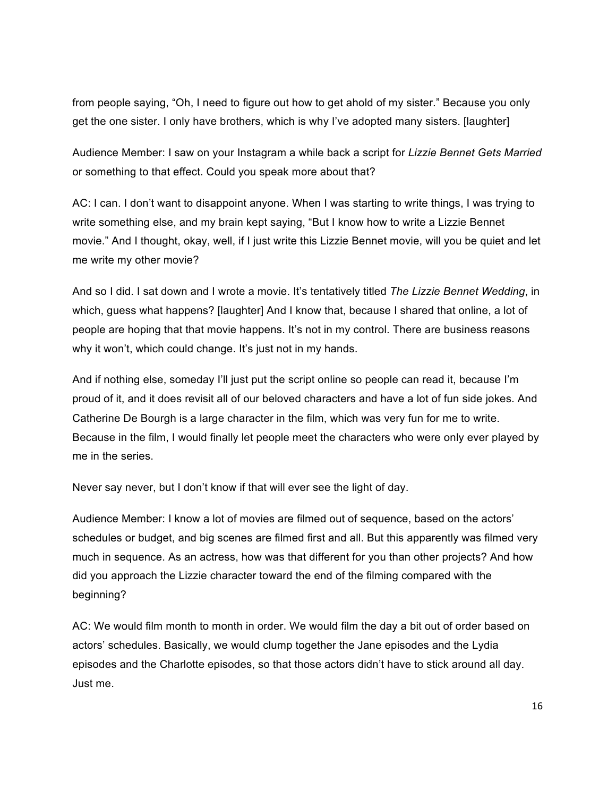from people saying, "Oh, I need to figure out how to get ahold of my sister." Because you only get the one sister. I only have brothers, which is why I've adopted many sisters. [laughter]

Audience Member: I saw on your Instagram a while back a script for *Lizzie Bennet Gets Married* or something to that effect. Could you speak more about that?

AC: I can. I don't want to disappoint anyone. When I was starting to write things, I was trying to write something else, and my brain kept saying, "But I know how to write a Lizzie Bennet movie." And I thought, okay, well, if I just write this Lizzie Bennet movie, will you be quiet and let me write my other movie?

And so I did. I sat down and I wrote a movie. It's tentatively titled *The Lizzie Bennet Wedding*, in which, guess what happens? [laughter] And I know that, because I shared that online, a lot of people are hoping that that movie happens. It's not in my control. There are business reasons why it won't, which could change. It's just not in my hands.

And if nothing else, someday I'll just put the script online so people can read it, because I'm proud of it, and it does revisit all of our beloved characters and have a lot of fun side jokes. And Catherine De Bourgh is a large character in the film, which was very fun for me to write. Because in the film, I would finally let people meet the characters who were only ever played by me in the series.

Never say never, but I don't know if that will ever see the light of day.

Audience Member: I know a lot of movies are filmed out of sequence, based on the actors' schedules or budget, and big scenes are filmed first and all. But this apparently was filmed very much in sequence. As an actress, how was that different for you than other projects? And how did you approach the Lizzie character toward the end of the filming compared with the beginning?

AC: We would film month to month in order. We would film the day a bit out of order based on actors' schedules. Basically, we would clump together the Jane episodes and the Lydia episodes and the Charlotte episodes, so that those actors didn't have to stick around all day. Just me.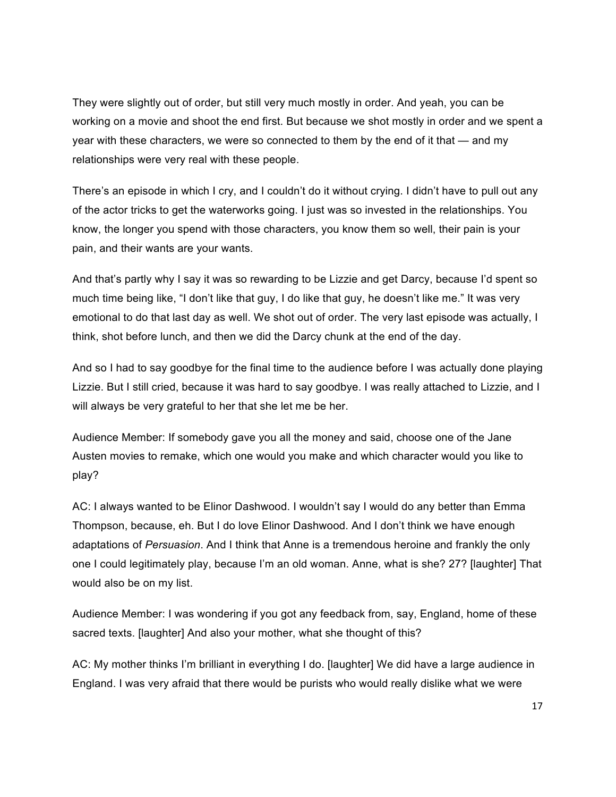They were slightly out of order, but still very much mostly in order. And yeah, you can be working on a movie and shoot the end first. But because we shot mostly in order and we spent a year with these characters, we were so connected to them by the end of it that — and my relationships were very real with these people.

There's an episode in which I cry, and I couldn't do it without crying. I didn't have to pull out any of the actor tricks to get the waterworks going. I just was so invested in the relationships. You know, the longer you spend with those characters, you know them so well, their pain is your pain, and their wants are your wants.

And that's partly why I say it was so rewarding to be Lizzie and get Darcy, because I'd spent so much time being like, "I don't like that guy, I do like that guy, he doesn't like me." It was very emotional to do that last day as well. We shot out of order. The very last episode was actually, I think, shot before lunch, and then we did the Darcy chunk at the end of the day.

And so I had to say goodbye for the final time to the audience before I was actually done playing Lizzie. But I still cried, because it was hard to say goodbye. I was really attached to Lizzie, and I will always be very grateful to her that she let me be her.

Audience Member: If somebody gave you all the money and said, choose one of the Jane Austen movies to remake, which one would you make and which character would you like to play?

AC: I always wanted to be Elinor Dashwood. I wouldn't say I would do any better than Emma Thompson, because, eh. But I do love Elinor Dashwood. And I don't think we have enough adaptations of *Persuasion*. And I think that Anne is a tremendous heroine and frankly the only one I could legitimately play, because I'm an old woman. Anne, what is she? 27? [laughter] That would also be on my list.

Audience Member: I was wondering if you got any feedback from, say, England, home of these sacred texts. [laughter] And also your mother, what she thought of this?

AC: My mother thinks I'm brilliant in everything I do. [laughter] We did have a large audience in England. I was very afraid that there would be purists who would really dislike what we were